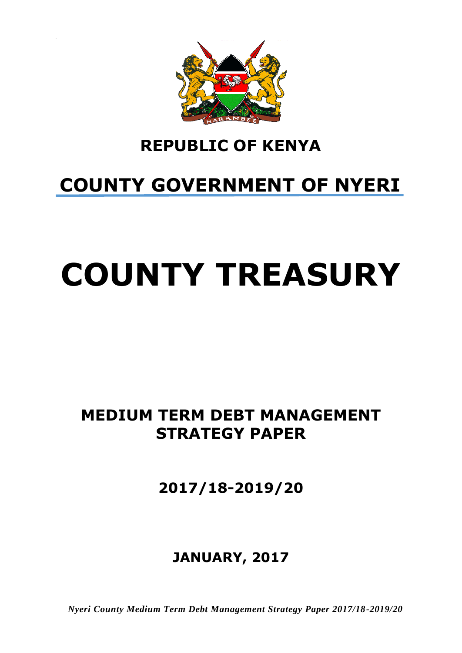

## **REPUBLIC OF KENYA**

## <span id="page-0-0"></span>**COUNTY GOVERNMENT OF NYERI**

# **COUNTY TREASURY**

## **MEDIUM TERM DEBT MANAGEMENT STRATEGY PAPER**

**2017/18-2019/20**

## **JANUARY, 2017**

*Nyeri County Medium Term Debt Management Strategy Paper 2017/18-2019/20*i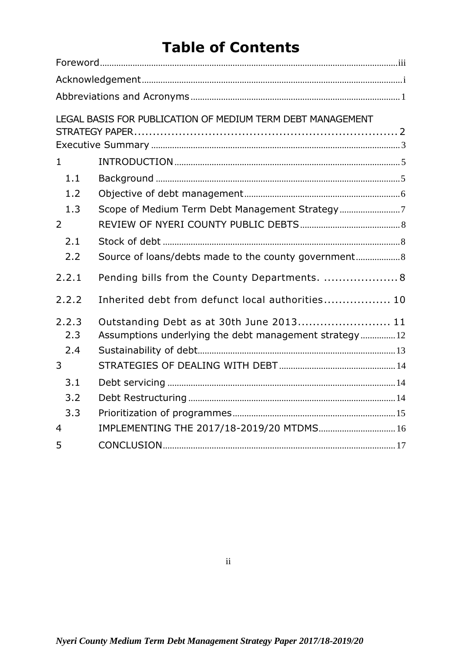## **Table of Contents**

|                | LEGAL BASIS FOR PUBLICATION OF MEDIUM TERM DEBT MANAGEMENT |  |
|----------------|------------------------------------------------------------|--|
|                |                                                            |  |
| $\mathbf{1}$   |                                                            |  |
| 1.1            |                                                            |  |
| 1.2            |                                                            |  |
| 1.3            |                                                            |  |
| 2              |                                                            |  |
| 2.1            |                                                            |  |
| 2.2            | Source of loans/debts made to the county government 8      |  |
| 2.2.1          | Pending bills from the County Departments.  8              |  |
| 2.2.2          | Inherited debt from defunct local authorities 10           |  |
| 2.2.3          | Outstanding Debt as at 30th June 2013 11                   |  |
| 2.3            | Assumptions underlying the debt management strategy12      |  |
| 2.4            |                                                            |  |
| 3              |                                                            |  |
| 3.1            |                                                            |  |
| 3.2            |                                                            |  |
| 3.3            |                                                            |  |
| $\overline{4}$ | IMPLEMENTING THE 2017/18-2019/20 MTDMS 16                  |  |
| 5              |                                                            |  |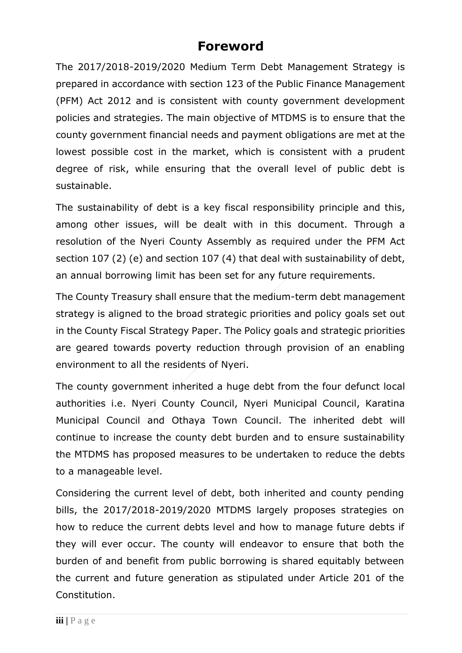#### **Foreword**

<span id="page-2-0"></span>The 2017/2018-2019/2020 Medium Term Debt Management Strategy is prepared in accordance with section 123 of the Public Finance Management (PFM) Act 2012 and is consistent with county government development policies and strategies. The main objective of MTDMS is to ensure that the county government financial needs and payment obligations are met at the lowest possible cost in the market, which is consistent with a prudent degree of risk, while ensuring that the overall level of public debt is sustainable.

The sustainability of debt is a key fiscal responsibility principle and this, among other issues, will be dealt with in this document. Through a resolution of the Nyeri County Assembly as required under the PFM Act section 107 (2) (e) and section 107 (4) that deal with sustainability of debt, an annual borrowing limit has been set for any future requirements.

The County Treasury shall ensure that the medium-term debt management strategy is aligned to the broad strategic priorities and policy goals set out in the County Fiscal Strategy Paper. The Policy goals and strategic priorities are geared towards poverty reduction through provision of an enabling environment to all the residents of Nyeri.

The county government inherited a huge debt from the four defunct local authorities i.e. Nyeri County Council, Nyeri Municipal Council, Karatina Municipal Council and Othaya Town Council. The inherited debt will continue to increase the county debt burden and to ensure sustainability the MTDMS has proposed measures to be undertaken to reduce the debts to a manageable level.

Considering the current level of debt, both inherited and county pending bills, the 2017/2018-2019/2020 MTDMS largely proposes strategies on how to reduce the current debts level and how to manage future debts if they will ever occur. The county will endeavor to ensure that both the burden of and benefit from public borrowing is shared equitably between the current and future generation as stipulated under Article 201 of the Constitution.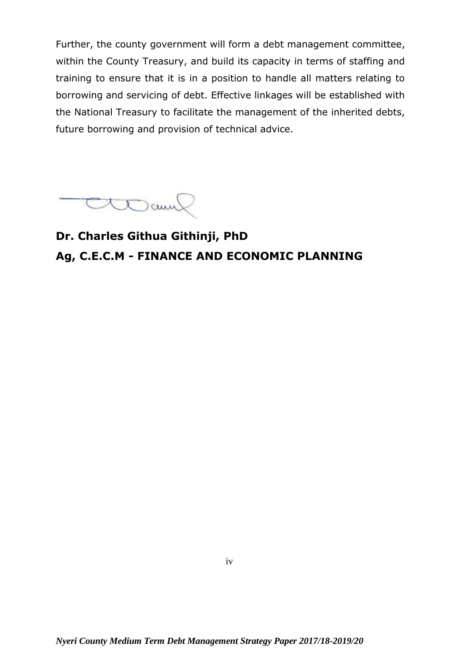Further, the county government will form a debt management committee, within the County Treasury, and build its capacity in terms of staffing and training to ensure that it is in a position to handle all matters relating to borrowing and servicing of debt. Effective linkages will be established with the National Treasury to facilitate the management of the inherited debts, future borrowing and provision of technical advice.

CLOCOUN

**Dr. Charles Githua Githinji, PhD Ag, C.E.C.M - FINANCE AND ECONOMIC PLANNING**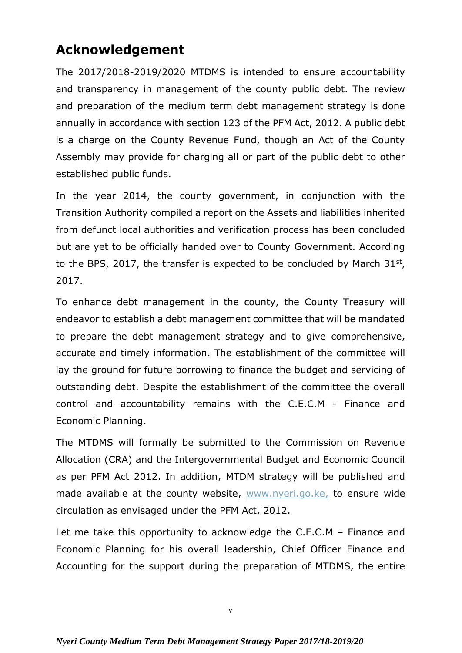## **Acknowledgement**

The 2017/2018-2019/2020 MTDMS is intended to ensure accountability and transparency in management of the county public debt. The review and preparation of the medium term debt management strategy is done annually in accordance with section 123 of the PFM Act, 2012. A public debt is a charge on the County Revenue Fund, though an Act of the County Assembly may provide for charging all or part of the public debt to other established public funds.

In the year 2014, the county government, in conjunction with the Transition Authority compiled a report on the Assets and liabilities inherited from defunct local authorities and verification process has been concluded but are yet to be officially handed over to County Government. According to the BPS, 2017, the transfer is expected to be concluded by March  $31<sup>st</sup>$ , 2017.

To enhance debt management in the county, the County Treasury will endeavor to establish a debt management committee that will be mandated to prepare the debt management strategy and to give comprehensive, accurate and timely information. The establishment of the committee will lay the ground for future borrowing to finance the budget and servicing of outstanding debt. Despite the establishment of the committee the overall control and accountability remains with the C.E.C.M - Finance and Economic Planning.

The MTDMS will formally be submitted to the Commission on Revenue Allocation (CRA) and the Intergovernmental Budget and Economic Council as per PFM Act 2012. In addition, MTDM strategy will be published and made available at the county website, [www.nyeri.go.ke,](http://www.nyeri.go.ke/) to ensure wide circulation as envisaged under the PFM Act, 2012.

Let me take this opportunity to acknowledge the C.E.C.M – Finance and Economic Planning for his overall leadership, Chief Officer Finance and Accounting for the support during the preparation of MTDMS, the entire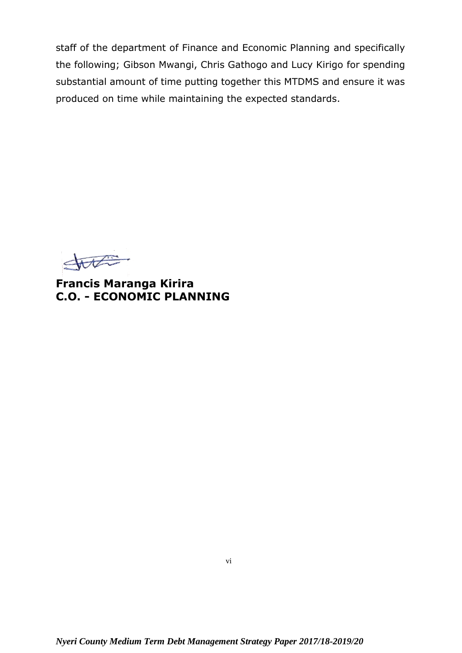staff of the department of Finance and Economic Planning and specifically the following; Gibson Mwangi, Chris Gathogo and Lucy Kirigo for spending substantial amount of time putting together this MTDMS and ensure it was produced on time while maintaining the expected standards.

state

**Francis Maranga Kirira C.O. - ECONOMIC PLANNING**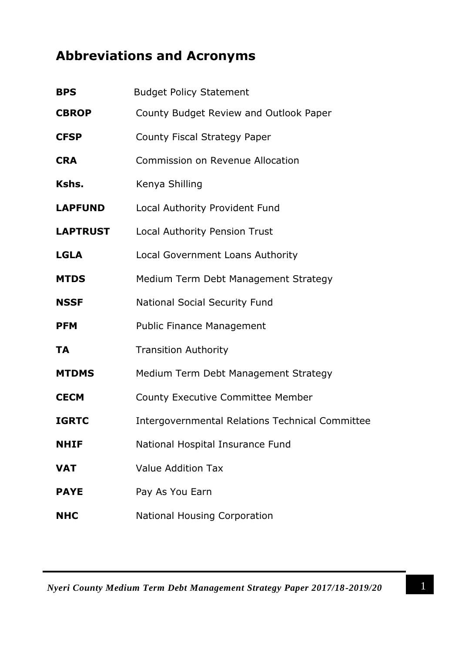## <span id="page-6-0"></span>**Abbreviations and Acronyms**

| <b>BPS</b>      | <b>Budget Policy Statement</b>                         |
|-----------------|--------------------------------------------------------|
| <b>CBROP</b>    | County Budget Review and Outlook Paper                 |
| <b>CFSP</b>     | County Fiscal Strategy Paper                           |
| <b>CRA</b>      | <b>Commission on Revenue Allocation</b>                |
| Kshs.           | Kenya Shilling                                         |
| <b>LAPFUND</b>  | Local Authority Provident Fund                         |
| <b>LAPTRUST</b> | <b>Local Authority Pension Trust</b>                   |
| <b>LGLA</b>     | Local Government Loans Authority                       |
| <b>MTDS</b>     | Medium Term Debt Management Strategy                   |
| <b>NSSF</b>     | <b>National Social Security Fund</b>                   |
| <b>PFM</b>      | <b>Public Finance Management</b>                       |
| <b>TA</b>       | <b>Transition Authority</b>                            |
| <b>MTDMS</b>    | Medium Term Debt Management Strategy                   |
| <b>CECM</b>     | <b>County Executive Committee Member</b>               |
| <b>IGRTC</b>    | <b>Intergovernmental Relations Technical Committee</b> |
| <b>NHIF</b>     | National Hospital Insurance Fund                       |
| <b>VAT</b>      | <b>Value Addition Tax</b>                              |
| <b>PAYE</b>     | Pay As You Earn                                        |
| <b>NHC</b>      | <b>National Housing Corporation</b>                    |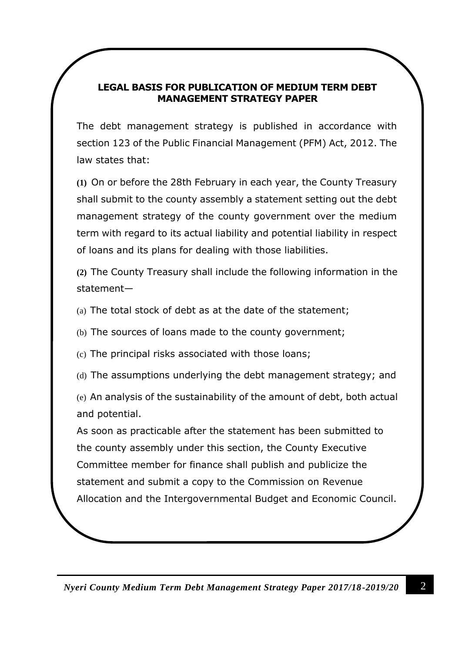#### **LEGAL BASIS FOR PUBLICATION OF MEDIUM TERM DEBT MANAGEMENT STRATEGY PAPER**

The debt management strategy is published in accordance with section 123 of the Public Financial Management (PFM) Act, 2012. The law states that:

**(1)** On or before the 28th February in each year, the County Treasury shall submit to the county assembly a statement setting out the debt management strategy of the county government over the medium term with regard to its actual liability and potential liability in respect of loans and its plans for dealing with those liabilities.

**(2)** The County Treasury shall include the following information in the statement—

(a) The total stock of debt as at the date of the statement;

(b) The sources of loans made to the county government;

(c) The principal risks associated with those loans;

(d) The assumptions underlying the debt management strategy; and

(e) An analysis of the sustainability of the amount of debt, both actual and potential.

As soon as practicable after the statement has been submitted to the county assembly under this section, the County Executive Committee member for finance shall publish and publicize the statement and submit a copy to the Commission on Revenue Allocation and the Intergovernmental Budget and Economic Council.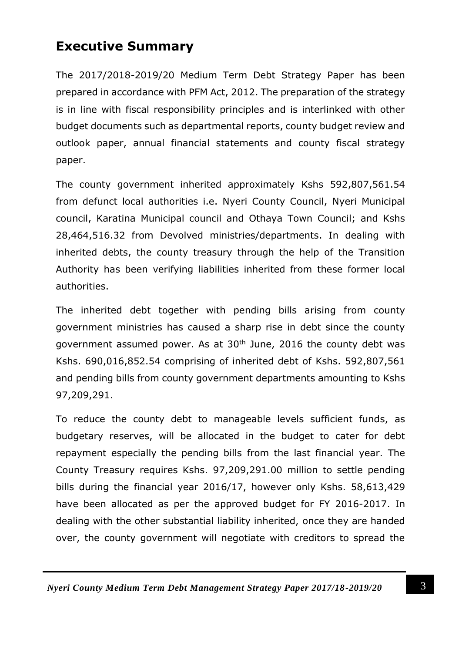## <span id="page-8-0"></span>**Executive Summary**

The 2017/2018-2019/20 Medium Term Debt Strategy Paper has been prepared in accordance with PFM Act, 2012. The preparation of the strategy is in line with fiscal responsibility principles and is interlinked with other budget documents such as departmental reports, county budget review and outlook paper, annual financial statements and county fiscal strategy paper.

The county government inherited approximately Kshs 592,807,561.54 from defunct local authorities i.e. Nyeri County Council, Nyeri Municipal council, Karatina Municipal council and Othaya Town Council; and Kshs 28,464,516.32 from Devolved ministries/departments. In dealing with inherited debts, the county treasury through the help of the Transition Authority has been verifying liabilities inherited from these former local authorities.

The inherited debt together with pending bills arising from county government ministries has caused a sharp rise in debt since the county government assumed power. As at 30<sup>th</sup> June, 2016 the county debt was Kshs. 690,016,852.54 comprising of inherited debt of Kshs. 592,807,561 and pending bills from county government departments amounting to Kshs 97,209,291.

To reduce the county debt to manageable levels sufficient funds, as budgetary reserves, will be allocated in the budget to cater for debt repayment especially the pending bills from the last financial year. The County Treasury requires Kshs. 97,209,291.00 million to settle pending bills during the financial year 2016/17, however only Kshs. 58,613,429 have been allocated as per the approved budget for FY 2016-2017. In dealing with the other substantial liability inherited, once they are handed over, the county government will negotiate with creditors to spread the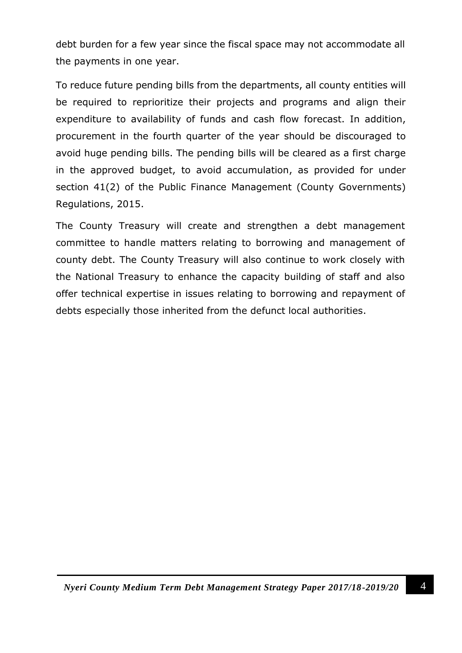debt burden for a few year since the fiscal space may not accommodate all the payments in one year.

To reduce future pending bills from the departments, all county entities will be required to reprioritize their projects and programs and align their expenditure to availability of funds and cash flow forecast. In addition, procurement in the fourth quarter of the year should be discouraged to avoid huge pending bills. The pending bills will be cleared as a first charge in the approved budget, to avoid accumulation, as provided for under section 41(2) of the Public Finance Management (County Governments) Regulations, 2015.

The County Treasury will create and strengthen a debt management committee to handle matters relating to borrowing and management of county debt. The County Treasury will also continue to work closely with the National Treasury to enhance the capacity building of staff and also offer technical expertise in issues relating to borrowing and repayment of debts especially those inherited from the defunct local authorities.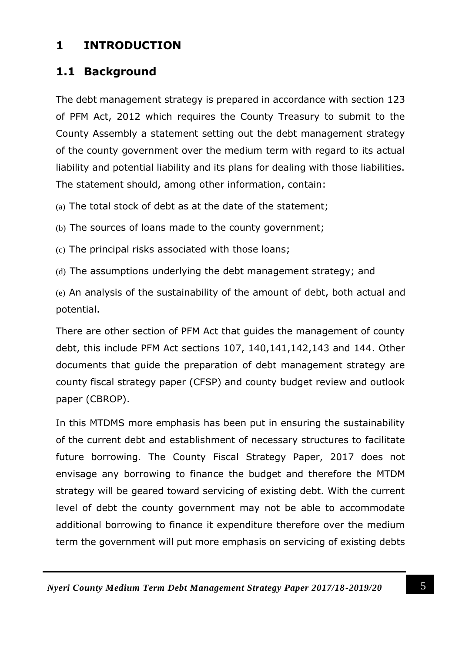#### <span id="page-10-0"></span>**1 INTRODUCTION**

#### <span id="page-10-1"></span>**1.1 Background**

The debt management strategy is prepared in accordance with section 123 of PFM Act, 2012 which requires the County Treasury to submit to the County Assembly a statement setting out the debt management strategy of the county government over the medium term with regard to its actual liability and potential liability and its plans for dealing with those liabilities. The statement should, among other information, contain:

(a) The total stock of debt as at the date of the statement;

(b) The sources of loans made to the county government;

(c) The principal risks associated with those loans;

(d) The assumptions underlying the debt management strategy; and

(e) An analysis of the sustainability of the amount of debt, both actual and potential.

There are other section of PFM Act that guides the management of county debt, this include PFM Act sections 107, 140,141,142,143 and 144. Other documents that guide the preparation of debt management strategy are county fiscal strategy paper (CFSP) and county budget review and outlook paper (CBROP).

In this MTDMS more emphasis has been put in ensuring the sustainability of the current debt and establishment of necessary structures to facilitate future borrowing. The County Fiscal Strategy Paper, 2017 does not envisage any borrowing to finance the budget and therefore the MTDM strategy will be geared toward servicing of existing debt. With the current level of debt the county government may not be able to accommodate additional borrowing to finance it expenditure therefore over the medium term the government will put more emphasis on servicing of existing debts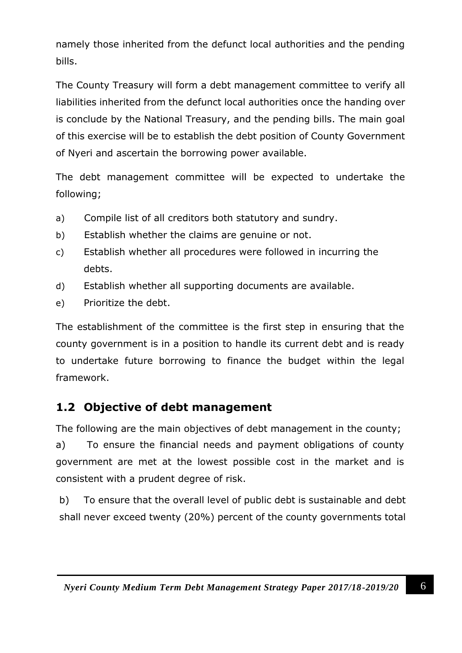namely those inherited from the defunct local authorities and the pending bills.

The County Treasury will form a debt management committee to verify all liabilities inherited from the defunct local authorities once the handing over is conclude by the National Treasury, and the pending bills. The main goal of this exercise will be to establish the debt position of County Government of Nyeri and ascertain the borrowing power available.

The debt management committee will be expected to undertake the following;

- a) Compile list of all creditors both statutory and sundry.
- b) Establish whether the claims are genuine or not.
- c) Establish whether all procedures were followed in incurring the debts.
- d) Establish whether all supporting documents are available.
- e) Prioritize the debt.

The establishment of the committee is the first step in ensuring that the county government is in a position to handle its current debt and is ready to undertake future borrowing to finance the budget within the legal framework.

#### <span id="page-11-0"></span>**1.2 Objective of debt management**

The following are the main objectives of debt management in the county; a) To ensure the financial needs and payment obligations of county government are met at the lowest possible cost in the market and is consistent with a prudent degree of risk.

b) To ensure that the overall level of public debt is sustainable and debt shall never exceed twenty (20%) percent of the county governments total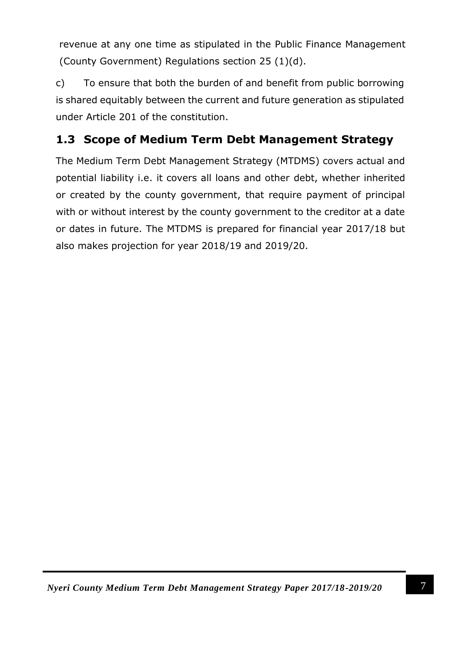revenue at any one time as stipulated in the Public Finance Management (County Government) Regulations section 25 (1)(d).

c) To ensure that both the burden of and benefit from public borrowing is shared equitably between the current and future generation as stipulated under Article 201 of the constitution.

#### <span id="page-12-0"></span>**1.3 Scope of Medium Term Debt Management Strategy**

The Medium Term Debt Management Strategy (MTDMS) covers actual and potential liability i.e. it covers all loans and other debt, whether inherited or created by the county government, that require payment of principal with or without interest by the county government to the creditor at a date or dates in future. The MTDMS is prepared for financial year 2017/18 but also makes projection for year 2018/19 and 2019/20.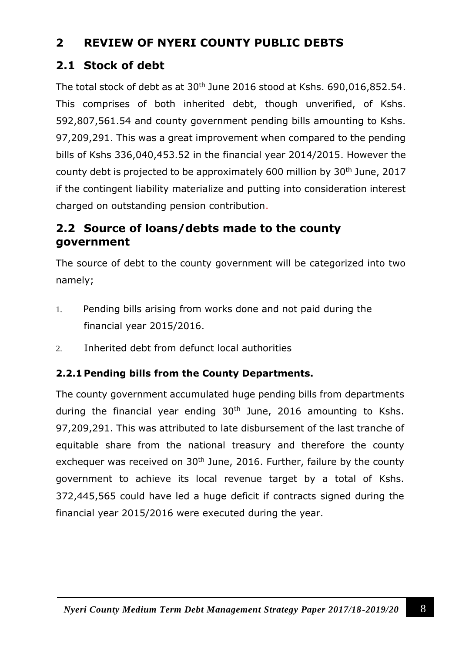#### <span id="page-13-0"></span>**2 REVIEW OF NYERI COUNTY PUBLIC DEBTS**

#### <span id="page-13-1"></span>**2.1 Stock of debt**

The total stock of debt as at  $30<sup>th</sup>$  June 2016 stood at Kshs. 690,016,852.54. This comprises of both inherited debt, though unverified, of Kshs. 592,807,561.54 and county government pending bills amounting to Kshs. 97,209,291. This was a great improvement when compared to the pending bills of Kshs 336,040,453.52 in the financial year 2014/2015. However the county debt is projected to be approximately 600 million by 30<sup>th</sup> June, 2017 if the contingent liability materialize and putting into consideration interest charged on outstanding pension contribution.

#### <span id="page-13-2"></span>**2.2 Source of loans/debts made to the county government**

The source of debt to the county government will be categorized into two namely;

- 1. Pending bills arising from works done and not paid during the financial year 2015/2016.
- 2. Inherited debt from defunct local authorities

#### <span id="page-13-3"></span>**2.2.1 Pending bills from the County Departments.**

The county government accumulated huge pending bills from departments during the financial year ending  $30<sup>th</sup>$  June, 2016 amounting to Kshs. 97,209,291. This was attributed to late disbursement of the last tranche of equitable share from the national treasury and therefore the county exchequer was received on  $30<sup>th</sup>$  June, 2016. Further, failure by the county government to achieve its local revenue target by a total of Kshs. 372,445,565 could have led a huge deficit if contracts signed during the financial year 2015/2016 were executed during the year.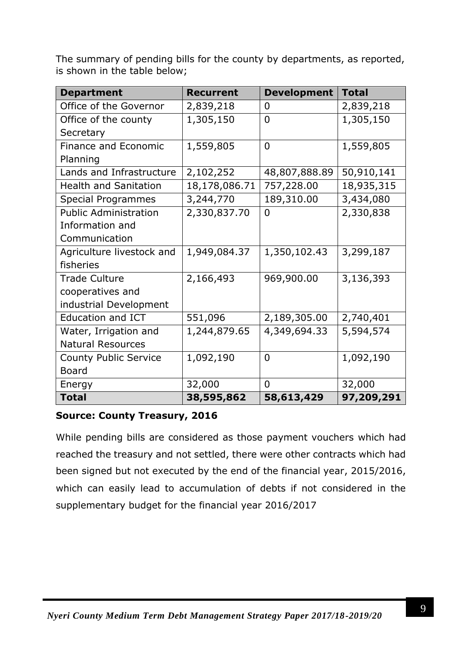The summary of pending bills for the county by departments, as reported, is shown in the table below;

| <b>Department</b>            | <b>Recurrent</b> | <b>Development</b> | <b>Total</b> |
|------------------------------|------------------|--------------------|--------------|
| Office of the Governor       | 2,839,218        | 0                  | 2,839,218    |
| Office of the county         | 1,305,150        | $\overline{0}$     | 1,305,150    |
| Secretary                    |                  |                    |              |
| Finance and Economic         | 1,559,805        | $\overline{0}$     | 1,559,805    |
| Planning                     |                  |                    |              |
| Lands and Infrastructure     | 2,102,252        | 48,807,888.89      | 50,910,141   |
| <b>Health and Sanitation</b> | 18,178,086.71    | 757,228.00         | 18,935,315   |
| <b>Special Programmes</b>    | 3,244,770        | 189,310.00         | 3,434,080    |
| <b>Public Administration</b> | 2,330,837.70     | $\overline{0}$     | 2,330,838    |
| Information and              |                  |                    |              |
| Communication                |                  |                    |              |
| Agriculture livestock and    | 1,949,084.37     | 1,350,102.43       | 3,299,187    |
| fisheries                    |                  |                    |              |
| <b>Trade Culture</b>         | 2,166,493        | 969,900.00         | 3,136,393    |
| cooperatives and             |                  |                    |              |
| industrial Development       |                  |                    |              |
| <b>Education and ICT</b>     | 551,096          | 2,189,305.00       | 2,740,401    |
| Water, Irrigation and        | 1,244,879.65     | 4,349,694.33       | 5,594,574    |
| <b>Natural Resources</b>     |                  |                    |              |
| <b>County Public Service</b> | 1,092,190        | $\overline{0}$     | 1,092,190    |
| <b>Board</b>                 |                  |                    |              |
| Energy                       | 32,000           | $\Omega$           | 32,000       |
| <b>Total</b>                 | 38,595,862       | 58,613,429         | 97,209,291   |

#### **Source: County Treasury, 2016**

While pending bills are considered as those payment vouchers which had reached the treasury and not settled, there were other contracts which had been signed but not executed by the end of the financial year, 2015/2016, which can easily lead to accumulation of debts if not considered in the supplementary budget for the financial year 2016/2017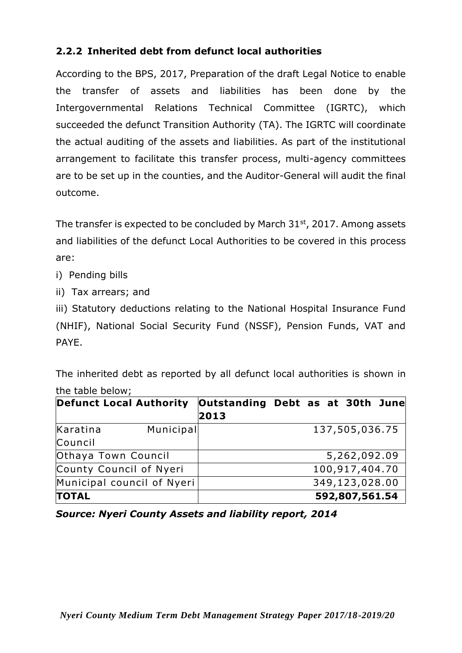#### <span id="page-15-0"></span>**2.2.2 Inherited debt from defunct local authorities**

According to the BPS, 2017, Preparation of the draft Legal Notice to enable the transfer of assets and liabilities has been done by the Intergovernmental Relations Technical Committee (IGRTC), which succeeded the defunct Transition Authority (TA). The IGRTC will coordinate the actual auditing of the assets and liabilities. As part of the institutional arrangement to facilitate this transfer process, multi-agency committees are to be set up in the counties, and the Auditor-General will audit the final outcome.

The transfer is expected to be concluded by March  $31<sup>st</sup>$ , 2017. Among assets and liabilities of the defunct Local Authorities to be covered in this process are:

- i) Pending bills
- ii) Tax arrears; and

iii) Statutory deductions relating to the National Hospital Insurance Fund (NHIF), National Social Security Fund (NSSF), Pension Funds, VAT and PAYE.

The inherited debt as reported by all defunct local authorities is shown in the table below;

| <b>Defunct Local Authority</b> |           | Outstanding Debt as at 30th June<br>2013 |  |                |  |
|--------------------------------|-----------|------------------------------------------|--|----------------|--|
|                                |           |                                          |  |                |  |
| Karatina                       | Municipal |                                          |  | 137,505,036.75 |  |
| Council                        |           |                                          |  |                |  |
| Othaya Town Council            |           |                                          |  | 5,262,092.09   |  |
| County Council of Nyeri        |           |                                          |  | 100,917,404.70 |  |
| Municipal council of Nyeri     |           |                                          |  | 349,123,028.00 |  |
| <b>TOTAL</b>                   |           |                                          |  | 592,807,561.54 |  |

*Source: Nyeri County Assets and liability report, 2014*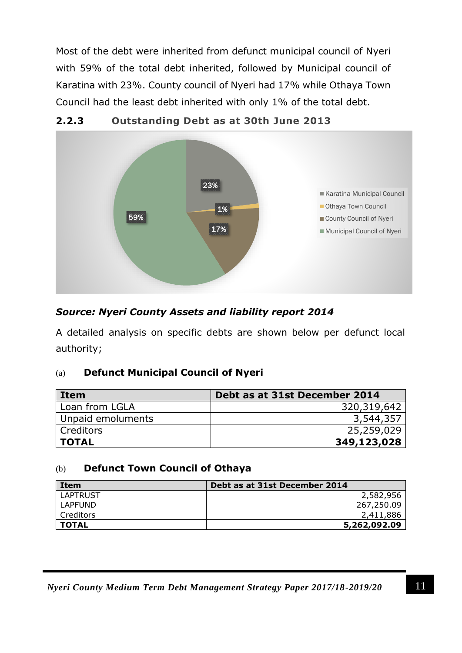<span id="page-16-0"></span>Most of the debt were inherited from defunct municipal council of Nyeri with 59% of the total debt inherited, followed by Municipal council of Karatina with 23%. County council of Nyeri had 17% while Othaya Town Council had the least debt inherited with only 1% of the total debt.



#### **2.2.3 Outstanding Debt as at 30th June 2013**

#### *Source: Nyeri County Assets and liability report 2014*

A detailed analysis on specific debts are shown below per defunct local authority;

#### (a) **Defunct Municipal Council of Nyeri**

| Item              | Debt as at 31st December 2014 |  |  |
|-------------------|-------------------------------|--|--|
| Loan from LGLA    | 320,319,642                   |  |  |
| Unpaid emoluments | 3,544,357                     |  |  |
| Creditors         | 25,259,029                    |  |  |
| <b>TOTAL</b>      | 349,123,028                   |  |  |

#### (b) **Defunct Town Council of Othaya**

| Item            | Debt as at 31st December 2014 |
|-----------------|-------------------------------|
| <b>LAPTRUST</b> | 2,582,956                     |
| LAPFUND         | 267,250.09                    |
| Creditors       | 2,411,886                     |
| <b>TOTAL</b>    | 5,262,092.09                  |

*Nyeri County Medium Term Debt Management Strategy Paper 2017/18-2019/20* 11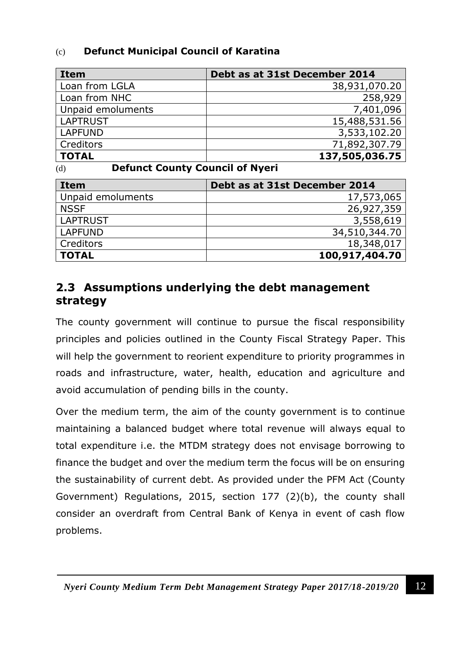#### (c) **Defunct Municipal Council of Karatina**

| <b>Item</b>       | Debt as at 31st December 2014 |
|-------------------|-------------------------------|
| Loan from LGLA    | 38,931,070.20                 |
| Loan from NHC     | 258,929                       |
| Unpaid emoluments | 7,401,096                     |
| <b>LAPTRUST</b>   | 15,488,531.56                 |
| <b>LAPFUND</b>    | 3,533,102.20                  |
| Creditors         | 71,892,307.79                 |
| <b>TOTAL</b>      | 137,505,036.75                |

(d) **Defunct County Council of Nyeri**

| Item              | Debt as at 31st December 2014 |
|-------------------|-------------------------------|
| Unpaid emoluments | 17,573,065                    |
| <b>NSSF</b>       | 26,927,359                    |
| <b>LAPTRUST</b>   | 3,558,619                     |
| <b>LAPFUND</b>    | 34,510,344.70                 |
| Creditors         | 18,348,017                    |
| <b>TOTAL</b>      | 100,917,404.70                |

#### <span id="page-17-0"></span>**2.3 Assumptions underlying the debt management strategy**

The county government will continue to pursue the fiscal responsibility principles and policies outlined in the County Fiscal Strategy Paper. This will help the government to reorient expenditure to priority programmes in roads and infrastructure, water, health, education and agriculture and avoid accumulation of pending bills in the county.

Over the medium term, the aim of the county government is to continue maintaining a balanced budget where total revenue will always equal to total expenditure i.e. the MTDM strategy does not envisage borrowing to finance the budget and over the medium term the focus will be on ensuring the sustainability of current debt. As provided under the PFM Act (County Government) Regulations, 2015, section 177 (2)(b), the county shall consider an overdraft from Central Bank of Kenya in event of cash flow problems.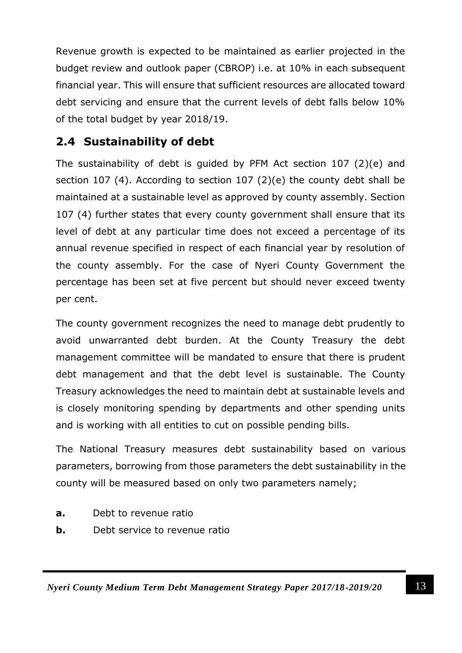Revenue growth is expected to be maintained as earlier projected in the budget review and outlook paper (CBROP) i.e. at 10% in each subsequent financial year. This will ensure that sufficient resources are allocated toward debt servicing and ensure that the current levels of debt falls below 10% of the total budget by year 2018/19.

#### <span id="page-18-0"></span>**2.4 Sustainability of debt**

The sustainability of debt is guided by PFM Act section 107 (2)(e) and section 107 (4). According to section 107 (2)(e) the county debt shall be maintained at a sustainable level as approved by county assembly. Section 107 (4) further states that every county government shall ensure that its level of debt at any particular time does not exceed a percentage of its annual revenue specified in respect of each financial year by resolution of the county assembly. For the case of Nyeri County Government the percentage has been set at five percent but should never exceed twenty per cent.

The county government recognizes the need to manage debt prudently to avoid unwarranted debt burden. At the County Treasury the debt management committee will be mandated to ensure that there is prudent debt management and that the debt level is sustainable. The County Treasury acknowledges the need to maintain debt at sustainable levels and is closely monitoring spending by departments and other spending units and is working with all entities to cut on possible pending bills.

The National Treasury measures debt sustainability based on various parameters, borrowing from those parameters the debt sustainability in the county will be measured based on only two parameters namely;

- **a.** Debt to revenue ratio
- **b.** Debt service to revenue ratio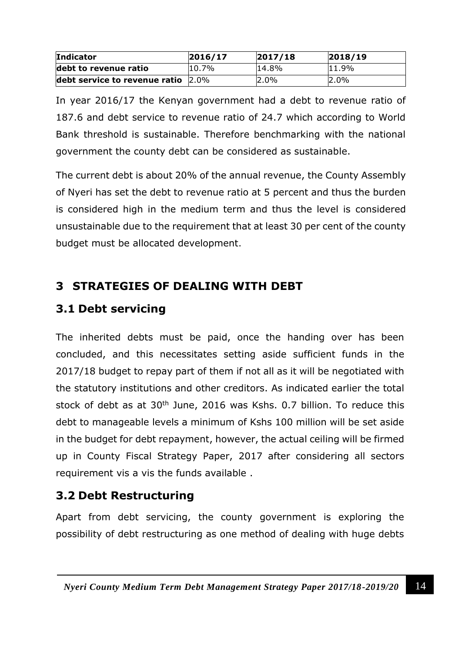| <b>Indicator</b>              | 2016/17  | 2017/18 | 2018/19 |
|-------------------------------|----------|---------|---------|
| debt to revenue ratio         | $10.7\%$ | 14.8%   | 11.9%   |
| debt service to revenue ratio | $2.0\%$  | $2.0\%$ | $2.0\%$ |

In year 2016/17 the Kenyan government had a debt to revenue ratio of 187.6 and debt service to revenue ratio of 24.7 which according to World Bank threshold is sustainable. Therefore benchmarking with the national government the county debt can be considered as sustainable.

The current debt is about 20% of the annual revenue, the County Assembly of Nyeri has set the debt to revenue ratio at 5 percent and thus the burden is considered high in the medium term and thus the level is considered unsustainable due to the requirement that at least 30 per cent of the county budget must be allocated development.

#### <span id="page-19-0"></span>**3 STRATEGIES OF DEALING WITH DEBT**

#### <span id="page-19-1"></span>**3.1 Debt servicing**

The inherited debts must be paid, once the handing over has been concluded, and this necessitates setting aside sufficient funds in the 2017/18 budget to repay part of them if not all as it will be negotiated with the statutory institutions and other creditors. As indicated earlier the total stock of debt as at 30<sup>th</sup> June, 2016 was Kshs. 0.7 billion. To reduce this debt to manageable levels a minimum of Kshs 100 million will be set aside in the budget for debt repayment, however, the actual ceiling will be firmed up in County Fiscal Strategy Paper, 2017 after considering all sectors requirement vis a vis the funds available .

#### <span id="page-19-2"></span>**3.2 Debt Restructuring**

Apart from debt servicing, the county government is exploring the possibility of debt restructuring as one method of dealing with huge debts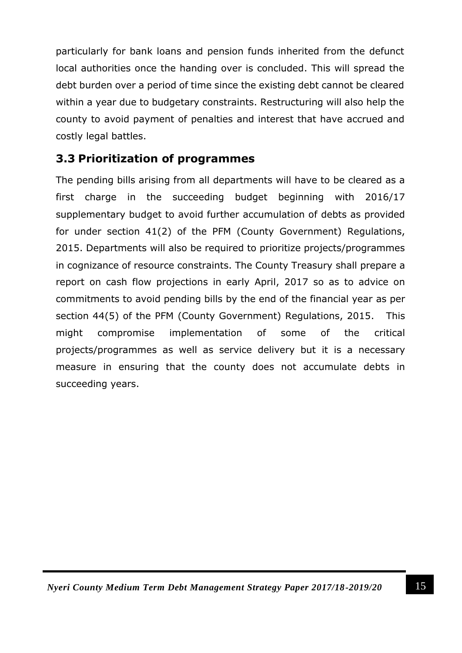particularly for bank loans and pension funds inherited from the defunct local authorities once the handing over is concluded. This will spread the debt burden over a period of time since the existing debt cannot be cleared within a year due to budgetary constraints. Restructuring will also help the county to avoid payment of penalties and interest that have accrued and costly legal battles.

#### <span id="page-20-0"></span>**3.3 Prioritization of programmes**

The pending bills arising from all departments will have to be cleared as a first charge in the succeeding budget beginning with 2016/17 supplementary budget to avoid further accumulation of debts as provided for under section 41(2) of the PFM (County Government) Regulations, 2015. Departments will also be required to prioritize projects/programmes in cognizance of resource constraints. The County Treasury shall prepare a report on cash flow projections in early April, 2017 so as to advice on commitments to avoid pending bills by the end of the financial year as per section 44(5) of the PFM (County Government) Regulations, 2015. This might compromise implementation of some of the critical projects/programmes as well as service delivery but it is a necessary measure in ensuring that the county does not accumulate debts in succeeding years.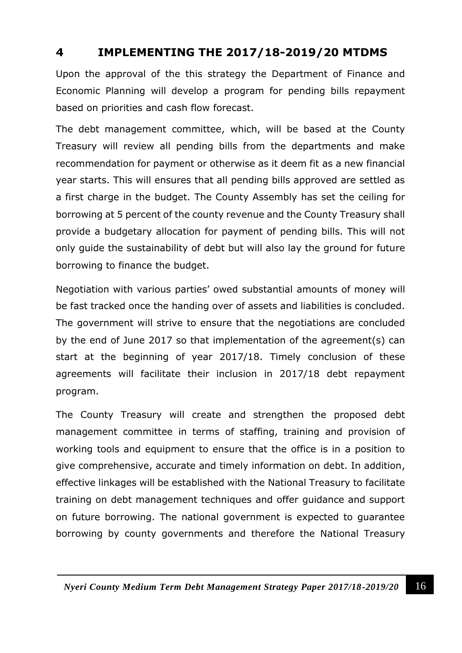#### <span id="page-21-0"></span>**4 IMPLEMENTING THE 2017/18-2019/20 MTDMS**

Upon the approval of the this strategy the Department of Finance and Economic Planning will develop a program for pending bills repayment based on priorities and cash flow forecast.

The debt management committee, which, will be based at the County Treasury will review all pending bills from the departments and make recommendation for payment or otherwise as it deem fit as a new financial year starts. This will ensures that all pending bills approved are settled as a first charge in the budget. The County Assembly has set the ceiling for borrowing at 5 percent of the county revenue and the County Treasury shall provide a budgetary allocation for payment of pending bills. This will not only guide the sustainability of debt but will also lay the ground for future borrowing to finance the budget.

Negotiation with various parties' owed substantial amounts of money will be fast tracked once the handing over of assets and liabilities is concluded. The government will strive to ensure that the negotiations are concluded by the end of June 2017 so that implementation of the agreement(s) can start at the beginning of year 2017/18. Timely conclusion of these agreements will facilitate their inclusion in 2017/18 debt repayment program.

The County Treasury will create and strengthen the proposed debt management committee in terms of staffing, training and provision of working tools and equipment to ensure that the office is in a position to give comprehensive, accurate and timely information on debt. In addition, effective linkages will be established with the National Treasury to facilitate training on debt management techniques and offer guidance and support on future borrowing. The national government is expected to guarantee borrowing by county governments and therefore the National Treasury